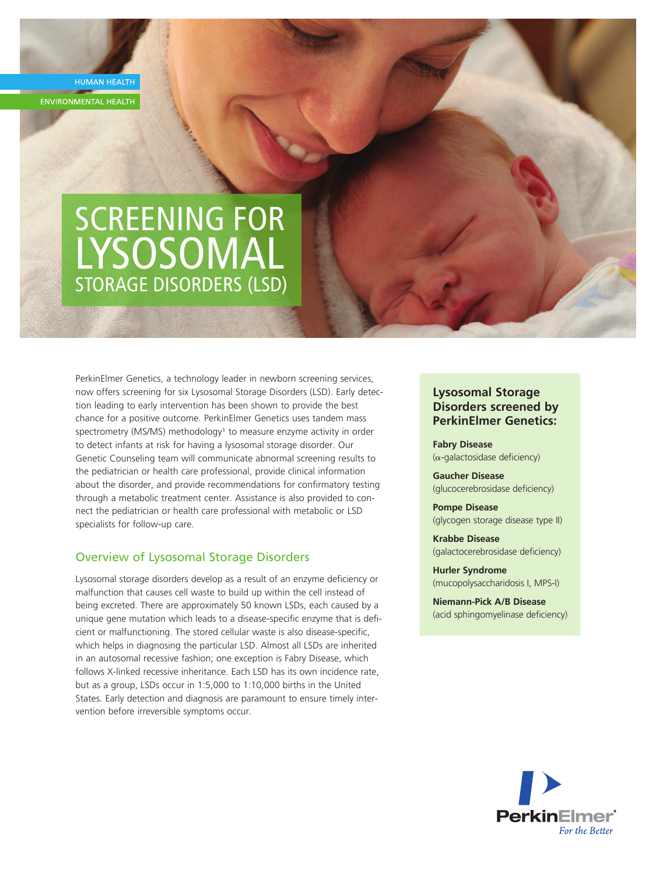**HUMAN HEALTH ENVIRONMENTAL HEALTH** 

# SCREENING FOR LYSOSOMAL STORAGE DISORDERS (LSD)

PerkinElmer Genetics, a technology leader in newborn screening services, now offers screening for six Lysosomal Storage Disorders (LSD). Early detection leading to early intervention has been shown to provide the best chance for a positive outcome. PerkinElmer Genetics uses tandem mass spectrometry (MS/MS) methodology<sup>1</sup> to measure enzyme activity in order to detect infants at risk for having a lysosomal storage disorder. Our Genetic Counseling team will communicate abnormal screening results to the pediatrician or health care professional, provide clinical information about the disorder, and provide recommendations for confirmatory testing through a metabolic treatment center. Assistance is also provided to connect the pediatrician or health care professional with metabolic or LSD specialists for follow-up care.

## Overview of Lysosomal Storage Disorders

Lysosomal storage disorders develop as a result of an enzyme deficiency or malfunction that causes cell waste to build up within the cell instead of being excreted. There are approximately 50 known LSDs, each caused by a unique gene mutation which leads to a disease-specific enzyme that is deficient or malfunctioning. The stored cellular waste is also disease-specific, which helps in diagnosing the particular LSD. Almost all LSDs are inherited in an autosomal recessive fashion; one exception is Fabry Disease, which follows X-linked recessive inheritance. Each LSD has its own incidence rate, but as a group, LSDs occur in 1:5,000 to 1:10,000 births in the United States. Early detection and diagnosis are paramount to ensure timely intervention before irreversible symptoms occur.

## **Lysosomal Storage Disorders screened by PerkinElmer Genetics:**

**Fabry Disease**  $(\alpha$ -galactosidase deficiency)

**Gaucher Disease** (glucocerebrosidase deficiency)

**Pompe Disease** (glycogen storage disease type II)

**Krabbe Disease** (galactocerebrosidase deficiency)

**Hurler Syndrome** (mucopolysaccharidosis I, MPS-I)

**Niemann-Pick A/B Disease** (acid sphingomyelinase deficiency)